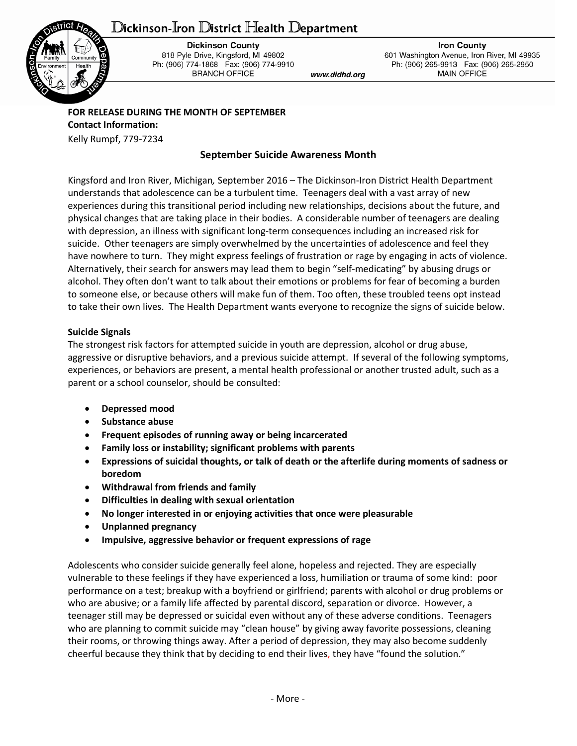# ${\mathbb D}$ ickinson-Iron  ${\mathbb D}$ istrict Health  ${\mathbb D}$ epartment



**Dickinson County** 818 Pyle Drive, Kingsford, MI 49802 Ph: (906) 774-1868 Fax: (906) 774-9910 **BRANCH OFFICE** 

www.didhd.org

**Iron County** 601 Washington Avenue, Iron River, MI 49935 Ph: (906) 265-9913 Fax: (906) 265-2950 **MAIN OFFICE** 

# **FOR RELEASE DURING THE MONTH OF SEPTEMBER Contact Information:**

Kelly Rumpf, 779-7234

## **September Suicide Awareness Month**

Kingsford and Iron River, Michigan*,* September 2016 – The Dickinson-Iron District Health Department understands that adolescence can be a turbulent time. Teenagers deal with a vast array of new experiences during this transitional period including new relationships, decisions about the future, and physical changes that are taking place in their bodies. A considerable number of teenagers are dealing with depression, an illness with significant long-term consequences including an increased risk for suicide. Other teenagers are simply overwhelmed by the uncertainties of adolescence and feel they have nowhere to turn. They might express feelings of frustration or rage by engaging in acts of violence. Alternatively, their search for answers may lead them to begin "self-medicating" by abusing drugs or alcohol. They often don't want to talk about their emotions or problems for fear of becoming a burden to someone else, or because others will make fun of them. Too often, these troubled teens opt instead to take their own lives. The Health Department wants everyone to recognize the signs of suicide below.

### **Suicide Signals**

The strongest risk factors for attempted suicide in youth are depression, alcohol or drug abuse, aggressive or disruptive behaviors, and a previous suicide attempt. If several of the following symptoms, experiences, or behaviors are present, a mental health professional or another trusted adult, such as a parent or a school counselor, should be consulted:

- **Depressed mood**
- **Substance abuse**
- **Frequent episodes of running away or being incarcerated**
- **Family loss or instability; significant problems with parents**
- **Expressions of suicidal thoughts, or talk of death or the afterlife during moments of sadness or boredom**
- **Withdrawal from friends and family**
- **Difficulties in dealing with sexual orientation**
- **No longer interested in or enjoying activities that once were pleasurable**
- **Unplanned pregnancy**
- **Impulsive, aggressive behavior or frequent expressions of rage**

Adolescents who consider suicide generally feel alone, hopeless and rejected. They are especially vulnerable to these feelings if they have experienced a loss, humiliation or trauma of some kind: poor performance on a test; breakup with a boyfriend or girlfriend; parents with alcohol or drug problems or who are abusive; or a family life affected by parental discord, separation or divorce. However, a teenager still may be depressed or suicidal even without any of these adverse conditions. Teenagers who are planning to commit suicide may "clean house" by giving away favorite possessions, cleaning their rooms, or throwing things away. After a period of depression, they may also become suddenly cheerful because they think that by deciding to end their lives, they have "found the solution."